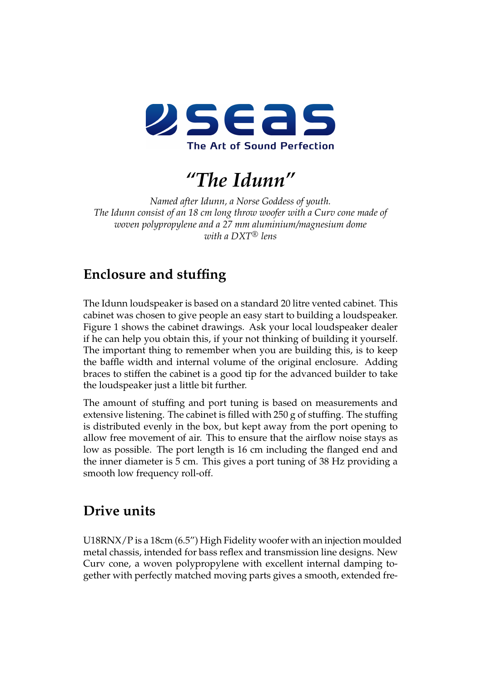

*"The Idunn"*

*Named after Idunn, a Norse Goddess of youth. The Idunn consist of an 18 cm long throw woofer with a Curv cone made of woven polypropylene and a 27 mm aluminium/magnesium dome with a DXT* <sup>R</sup> *lens*

## **Enclosure and stuffing**

The Idunn loudspeaker is based on a standard 20 litre vented cabinet. This cabinet was chosen to give people an easy start to building a loudspeaker. Figure [1](#page-1-0) shows the cabinet drawings. Ask your local loudspeaker dealer if he can help you obtain this, if your not thinking of building it yourself. The important thing to remember when you are building this, is to keep the baffle width and internal volume of the original enclosure. Adding braces to stiffen the cabinet is a good tip for the advanced builder to take the loudspeaker just a little bit further.

The amount of stuffing and port tuning is based on measurements and extensive listening. The cabinet is filled with 250 g of stuffing. The stuffing is distributed evenly in the box, but kept away from the port opening to allow free movement of air. This to ensure that the airflow noise stays as low as possible. The port length is 16 cm including the flanged end and the inner diameter is 5 cm. This gives a port tuning of 38 Hz providing a smooth low frequency roll-off.

## **Drive units**

U18RNX/P is a 18cm (6.5") High Fidelity woofer with an injection moulded metal chassis, intended for bass reflex and transmission line designs. New Curv cone, a woven polypropylene with excellent internal damping together with perfectly matched moving parts gives a smooth, extended fre-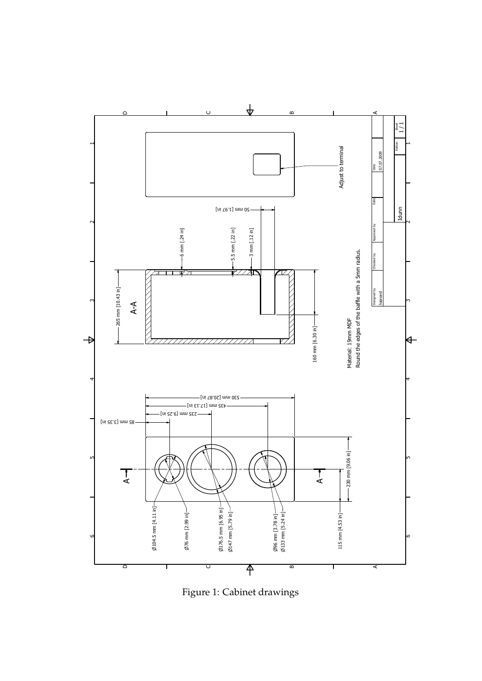

<span id="page-1-0"></span>Figure 1: Cabinet drawings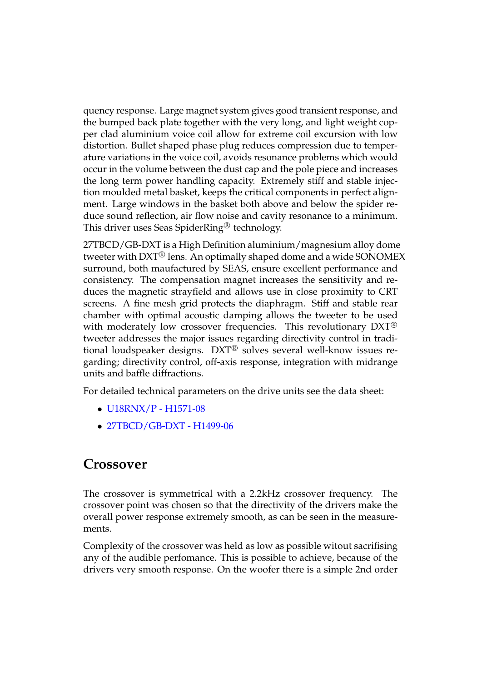quency response. Large magnet system gives good transient response, and the bumped back plate together with the very long, and light weight copper clad aluminium voice coil allow for extreme coil excursion with low distortion. Bullet shaped phase plug reduces compression due to temperature variations in the voice coil, avoids resonance problems which would occur in the volume between the dust cap and the pole piece and increases the long term power handling capacity. Extremely stiff and stable injection moulded metal basket, keeps the critical components in perfect alignment. Large windows in the basket both above and below the spider reduce sound reflection, air flow noise and cavity resonance to a minimum. This driver uses Seas SpiderRing $^{\circledR}$  technology.

27TBCD/GB-DXT is a High Definition aluminium/magnesium alloy dome tweeter with DXT® lens. An optimally shaped dome and a wide SONOMEX surround, both maufactured by SEAS, ensure excellent performance and consistency. The compensation magnet increases the sensitivity and reduces the magnetic strayfield and allows use in close proximity to CRT screens. A fine mesh grid protects the diaphragm. Stiff and stable rear chamber with optimal acoustic damping allows the tweeter to be used with moderately low crossover frequencies. This revolutionary DXT<sup>®</sup> tweeter addresses the major issues regarding directivity control in traditional loudspeaker designs.  $DXT^{\circledR}$  solves several well-know issues regarding; directivity control, off-axis response, integration with midrange units and baffle diffractions.

For detailed technical parameters on the drive units see the data sheet:

- [U18RNX/P H1571-08](http://seas.no/index.php?option=com_content&task=view&id=271&Itemid=247)
- [27TBCD/GB-DXT H1499-06](http://www.seas.no/index.php?option=com_content&task=view&id=184&Itemid=179)

## **Crossover**

The crossover is symmetrical with a 2.2kHz crossover frequency. The crossover point was chosen so that the directivity of the drivers make the overall power response extremely smooth, as can be seen in the measurements.

Complexity of the crossover was held as low as possible witout sacrifising any of the audible perfomance. This is possible to achieve, because of the drivers very smooth response. On the woofer there is a simple 2nd order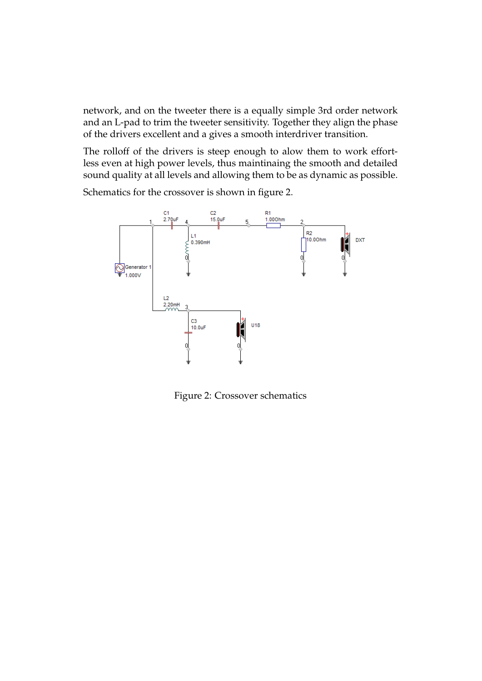network, and on the tweeter there is a equally simple 3rd order network and an L-pad to trim the tweeter sensitivity. Together they align the phase of the drivers excellent and a gives a smooth interdriver transition.

The rolloff of the drivers is steep enough to alow them to work effortless even at high power levels, thus maintinaing the smooth and detailed sound quality at all levels and allowing them to be as dynamic as possible.

Schematics for the crossover is shown in figure [2.](#page-3-0)



<span id="page-3-0"></span>Figure 2: Crossover schematics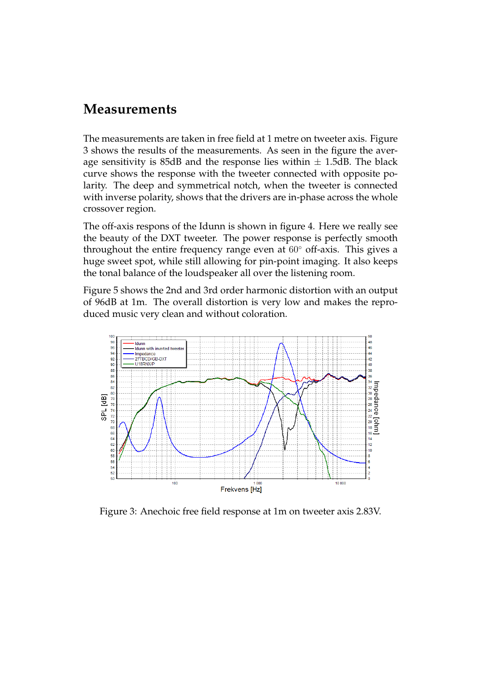## **Measurements**

The measurements are taken in free field at 1 metre on tweeter axis. Figure [3](#page-4-0) shows the results of the measurements. As seen in the figure the average sensitivity is 85dB and the response lies within  $\pm$  1.5dB. The black curve shows the response with the tweeter connected with opposite polarity. The deep and symmetrical notch, when the tweeter is connected with inverse polarity, shows that the drivers are in-phase across the whole crossover region.

The off-axis respons of the Idunn is shown in figure [4.](#page-5-0) Here we really see the beauty of the DXT tweeter. The power response is perfectly smooth throughout the entire frequency range even at 60◦ off-axis. This gives a huge sweet spot, while still allowing for pin-point imaging. It also keeps the tonal balance of the loudspeaker all over the listening room.

Figure [5](#page-5-1) shows the 2nd and 3rd order harmonic distortion with an output of 96dB at 1m. The overall distortion is very low and makes the reproduced music very clean and without coloration.



<span id="page-4-0"></span>Figure 3: Anechoic free field response at 1m on tweeter axis 2.83V.